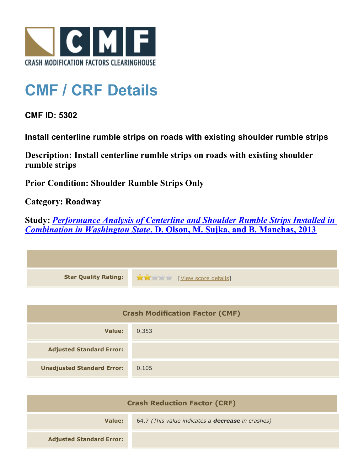

## **CMF / CRF Details**

**CMF ID: 5302**

**Install centerline rumble strips on roads with existing shoulder rumble strips**

**Description: Install centerline rumble strips on roads with existing shoulder rumble strips**

**Prior Condition: Shoulder Rumble Strips Only**

**Category: Roadway**

**Study:** *[Performance Analysis of Centerline and Shoulder Rumble Strips Installed in](http://www.cmfclearinghouse.org/study_detail.cfm?stid=334) [Combination in Washington State](http://www.cmfclearinghouse.org/study_detail.cfm?stid=334)***[, D. Olson, M. Sujka, and B. Manchas, 2013](http://www.cmfclearinghouse.org/study_detail.cfm?stid=334)**

| Star Quality Rating: 1999 [View score details] |
|------------------------------------------------|

| <b>Crash Modification Factor (CMF)</b> |       |
|----------------------------------------|-------|
| Value:                                 | 0.353 |
| <b>Adjusted Standard Error:</b>        |       |
| <b>Unadjusted Standard Error:</b>      | 0.105 |

| <b>Crash Reduction Factor (CRF)</b> |                                                          |
|-------------------------------------|----------------------------------------------------------|
| Value:                              | 64.7 (This value indicates a <b>decrease</b> in crashes) |
| <b>Adjusted Standard Error:</b>     |                                                          |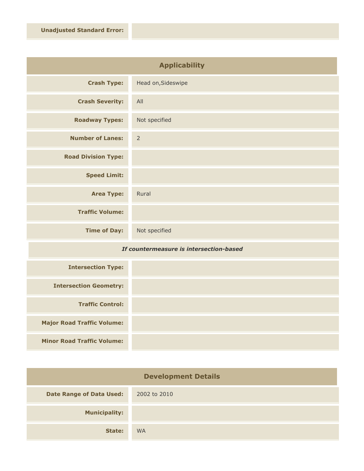| <b>Applicability</b>       |                    |
|----------------------------|--------------------|
| <b>Crash Type:</b>         | Head on, Sideswipe |
| <b>Crash Severity:</b>     | All                |
| <b>Roadway Types:</b>      | Not specified      |
| <b>Number of Lanes:</b>    | $\overline{2}$     |
| <b>Road Division Type:</b> |                    |
| <b>Speed Limit:</b>        |                    |
| <b>Area Type:</b>          | Rural              |
| <b>Traffic Volume:</b>     |                    |
| <b>Time of Day:</b>        | Not specified      |

## *If countermeasure is intersection-based*

| <b>Intersection Type:</b>         |  |
|-----------------------------------|--|
| <b>Intersection Geometry:</b>     |  |
| <b>Traffic Control:</b>           |  |
| <b>Major Road Traffic Volume:</b> |  |
| <b>Minor Road Traffic Volume:</b> |  |

| <b>Development Details</b>      |              |
|---------------------------------|--------------|
| <b>Date Range of Data Used:</b> | 2002 to 2010 |
| <b>Municipality:</b>            |              |
| State:                          | <b>WA</b>    |